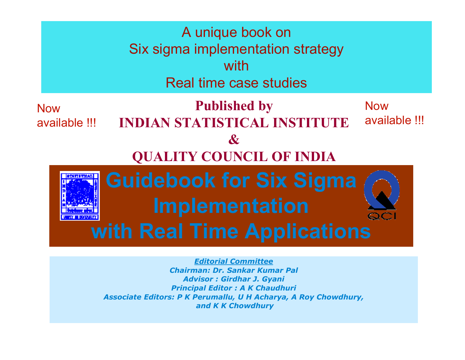

Advisor : Girdhar J. Gyani Principal Editor : A K Chaudhuri Associate Editors: P K Perumallu, U H Acharya, A Roy Chowdhury,and K K Chowdhury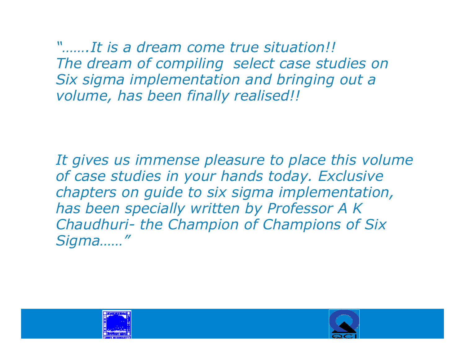"…….It is a dream come true situation!! The dream of compiling select case studies on Six sigma implementation and bringing out a volume, has been finally realised!!

It gives us immense pleasure to place this volume of case studies in your hands today. Exclusive chapters on guide to six sigma implementation, has been specially written by Professor A K Chaudhuri- the Champion of Champions of Six<br>Sigma Sigma……"

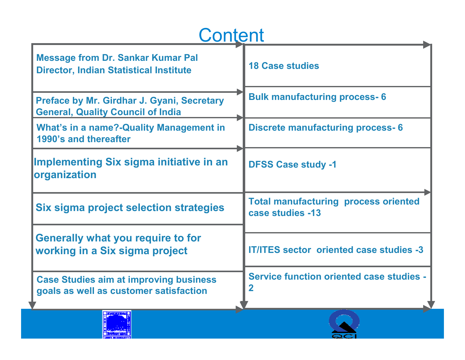## **Content**

| <b>Message from Dr. Sankar Kumar Pal</b><br><b>Director, Indian Statistical Institute</b> | <b>18 Case studies</b>                                                     |
|-------------------------------------------------------------------------------------------|----------------------------------------------------------------------------|
| Preface by Mr. Girdhar J. Gyani, Secretary<br><b>General, Quality Council of India</b>    | <b>Bulk manufacturing process-6</b>                                        |
| <b>What's in a name?-Quality Management in</b><br>1990's and thereafter                   | <b>Discrete manufacturing process-6</b>                                    |
| Implementing Six sigma initiative in an<br>organization                                   | <b>DFSS Case study -1</b>                                                  |
| Six sigma project selection strategies                                                    | <b>Total manufacturing process oriented</b><br>case studies -13            |
| <b>Generally what you require to for</b><br>working in a Six sigma project                | <b>IT/ITES sector oriented case studies -3</b>                             |
| <b>Case Studies aim at improving business</b><br>goals as well as customer satisfaction   | <b>Service function oriented case studies -</b><br>$\overline{\mathbf{2}}$ |
|                                                                                           |                                                                            |

Guidebook for Six Sigma Implementation with Real TimeApplications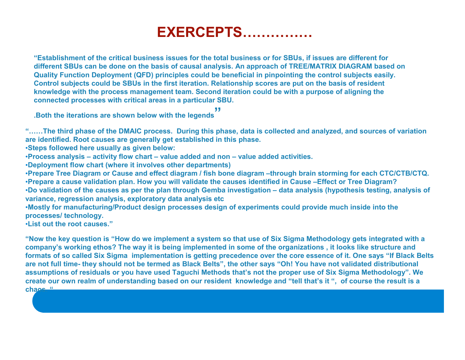## EXERCEPTS……………

"Establishment of the critical business issues for the total business or for SBUs, if issues are different for different SBUs can be done on the basis of causal analysis. An approach of TREE/MATRIX DIAGRAM based on Quality Function Deployment (QFD) principles could be beneficial in pinpointing the control subjects easily. Control subjects could be SBUs in the first iteration. Relationship scores are put on the basis of resident knowledge with the process management team. Second iteration could be with a purpose of aligning the connected processes with critical areas in a particular SBU.

.Both the iterations are shown below with the legends"

"……The third phase of the DMAIC process. During this phase, data is collected and analyzed, and sources of variation are identified. Root causes are generally get established in this phase.

•Steps followed here usually as given below:

•Process analysis – activity flow chart – value added and non – value added activities.

•Deployment flow chart (where it involves other departments)

 •Prepare Tree Diagram or Cause and effect diagram / fish bone diagram –through brain storming for each CTC/CTB/CTQ.•Prepare a cause validation plan. How you will validate the causes identified in Cause –Effect or Tree Diagram? •Do validation of the causes as per the plan through Gemba investigation – data analysis (hypothesis testing, analysis of variance, regression analysis, exploratory data analysis etc

 •Mostly for manufacturing/Product design processes design of experiments could provide much inside into the processes/ technology.

•List out the root causes."

"Now the key question is "How do we implement a system so that use of Six Sigma Methodology gets integrated with a company's working ethos? The way it is being implemented in some of the organizations , it looks like structure and formats of so called Six Sigma implementation is getting precedence over the core essence of it. One says "If Black Belts are not full time- they should not be termed as Black Belts", the other says "Oh! You have not validated distributional assumptions of residuals or you have used Taguchi Methods that's not the proper use of Six Sigma Methodology". We create our own realm of understanding based on our resident knowledge and "tell that's it ", of course the result is a chaos."